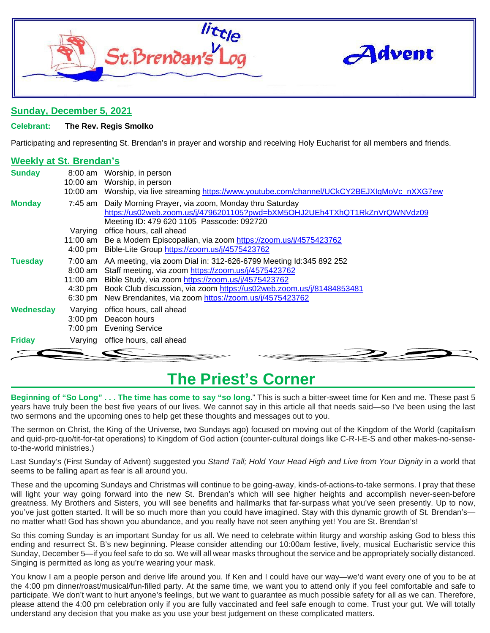



### **Sunday, December 5, 2021**

### **Celebrant: The Rev. Regis Smolko**

Participating and representing St. Brendan's in prayer and worship and receiving Holy Eucharist for all members and friends.

### **Weekly at St. Brendan's**

| <b>Sunday</b>  | 8:00 am                      | Worship, in person<br>10:00 am Worship, in person<br>10:00 am Worship, via live streaming https://www.youtube.com/channel/UCkCY2BEJXIqMoVc nXXG7ew                                                                                                                                                                                                 |
|----------------|------------------------------|----------------------------------------------------------------------------------------------------------------------------------------------------------------------------------------------------------------------------------------------------------------------------------------------------------------------------------------------------|
| <b>Monday</b>  |                              | 7:45 am Daily Morning Prayer, via zoom, Monday thru Saturday<br>https://us02web.zoom.us/j/4796201105?pwd=bXM5OHJ2UEh4TXhQT1RkZnVrQWNVdz09<br>Meeting ID: 479 620 1105 Passcode: 092720                                                                                                                                                             |
|                | Varying                      | office hours, call ahead<br>11:00 am Be a Modern Episcopalian, via zoom https://zoom.us/j/4575423762<br>4:00 pm Bible-Lite Group https://zoom.us/j/4575423762                                                                                                                                                                                      |
| <b>Tuesday</b> | $8:00 \text{ am}$            | 7:00 am AA meeting, via zoom Dial in: 312-626-6799 Meeting Id:345 892 252<br>Staff meeting, via zoom https://zoom.us/j/4575423762<br>11:00 am Bible Study, via zoom https://zoom.us/j/4575423762<br>4:30 pm Book Club discussion, via zoom https://us02web.zoom.us/j/81484853481<br>6:30 pm New Brendanites, via zoom https://zoom.us/j/4575423762 |
| Wednesday      | Varying<br>$3:00 \text{ pm}$ | office hours, call ahead<br>Deacon hours<br>7:00 pm Evening Service                                                                                                                                                                                                                                                                                |
| <b>Friday</b>  |                              | Varying office hours, call ahead                                                                                                                                                                                                                                                                                                                   |

### **The Priest's Corner**

**Beginning of "So Long" . . . The time has come to say "so long**." This is such a bitter-sweet time for Ken and me. These past 5 years have truly been the best five years of our lives. We cannot say in this article all that needs said—so I've been using the last two sermons and the upcoming ones to help get these thoughts and messages out to you.

The sermon on Christ, the King of the Universe, two Sundays ago) focused on moving out of the Kingdom of the World (capitalism and quid-pro-quo/tit-for-tat operations) to Kingdom of God action (counter-cultural doings like C-R-I-E-S and other makes-no-senseto-the-world ministries.)

Last Sunday's (First Sunday of Advent) suggested you *Stand Tall; Hold Your Head High and Live from Your Dignity* in a world that seems to be falling apart as fear is all around you.

These and the upcoming Sundays and Christmas will continue to be going-away, kinds-of-actions-to-take sermons. I pray that these will light your way going forward into the new St. Brendan's which will see higher heights and accomplish never-seen-before greatness. My Brothers and Sisters, you will see benefits and hallmarks that far-surpass what you've seen presently. Up to now, you've just gotten started. It will be so much more than you could have imagined. Stay with this dynamic growth of St. Brendan's no matter what! God has shown you abundance, and you really have not seen anything yet! You are St. Brendan's!

So this coming Sunday is an important Sunday for us all. We need to celebrate within liturgy and worship asking God to bless this ending and resurrect St. B's new beginning. Please consider attending our 10:00am festive, lively, musical Eucharistic service this Sunday, December 5—if you feel safe to do so. We will all wear masks throughout the service and be appropriately socially distanced. Singing is permitted as long as you're wearing your mask.

You know I am a people person and derive life around you. If Ken and I could have our way—we'd want every one of you to be at the 4:00 pm dinner/roast/musical/fun-filled party. At the same time, we want you to attend only if you feel comfortable and safe to participate. We don't want to hurt anyone's feelings, but we want to guarantee as much possible safety for all as we can. Therefore, please attend the 4:00 pm celebration only if you are fully vaccinated and feel safe enough to come. Trust your gut. We will totally understand any decision that you make as you use your best judgement on these complicated matters.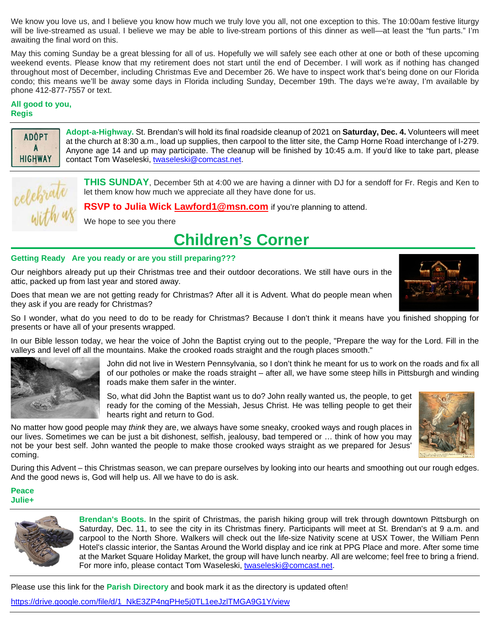We know you love us, and I believe you know how much we truly love you all, not one exception to this. The 10:00am festive liturgy will be live-streamed as usual. I believe we may be able to live-stream portions of this dinner as well—at least the "fun parts." I'm awaiting the final word on this.

May this coming Sunday be a great blessing for all of us. Hopefully we will safely see each other at one or both of these upcoming weekend events. Please know that my retirement does not start until the end of December. I will work as if nothing has changed throughout most of December, including Christmas Eve and December 26. We have to inspect work that's being done on our Florida condo; this means we'll be away some days in Florida including Sunday, December 19th. The days we're away, I'm available by phone 412-877-7557 or text.

### **All good to you, Regis**



**Adopt-a-Highway.** St. Brendan's will hold its final roadside cleanup of 2021 on **Saturday, Dec. 4.** Volunteers will meet at the church at 8:30 a.m., load up supplies, then carpool to the litter site, the Camp Horne Road interchange of I-279. Anyone age 14 and up may participate. The cleanup will be finished by 10:45 a.m. If you'd like to take part, please contact Tom Waseleski, [twaseleski@comcast.net.](mailto:twaseleski@comcast.net)



**THIS SUNDAY**, December 5th at 4:00 we are having a dinner with DJ for a sendoff for Fr. Regis and Ken to let them know how much we appreciate all they have done for us.

**RSVP to Julia Wick [Lawford1@msn.com](mailto:Lawford1@msn.com)** if you're planning to attend.

We hope to see you there

## **Children's Corner**

### **Getting Ready Are you ready or are you still preparing???**

Our neighbors already put up their Christmas tree and their outdoor decorations. We still have ours in the attic, packed up from last year and stored away.

Does that mean we are not getting ready for Christmas? After all it is Advent. What do people mean when they ask if you are ready for Christmas?



In our Bible lesson today, we hear the voice of John the Baptist crying out to the people, "Prepare the way for the Lord. Fill in the valleys and level off all the mountains. Make the crooked roads straight and the rough places smooth."



John did not live in Western Pennsylvania, so I don't think he meant for us to work on the roads and fix all of our potholes or make the roads straight – after all, we have some steep hills in Pittsburgh and winding roads make them safer in the winter.

So, what did John the Baptist want us to do? John really wanted us, the people, to get ready for the coming of the Messiah, Jesus Christ. He was telling people to get their hearts right and return to God.



No matter how good people may *think* they are, we always have some sneaky, crooked ways and rough places in our lives. Sometimes we can be just a bit dishonest, selfish, jealousy, bad tempered or … think of how you may not be your best self. John wanted the people to make those crooked ways straight as we prepared for Jesus' coming.

During this Advent – this Christmas season, we can prepare ourselves by looking into our hearts and smoothing out our rough edges. And the good news is, God will help us. All we have to do is ask.

### **Peace Julie+**



**Brendan's Boots.** In the spirit of Christmas, the parish hiking group will trek through downtown Pittsburgh on Saturday, Dec. 11, to see the city in its Christmas finery. Participants will meet at St. Brendan's at 9 a.m. and carpool to the North Shore. Walkers will check out the life-size Nativity scene at USX Tower, the William Penn Hotel's classic interior, the Santas Around the World display and ice rink at PPG Place and more. After some time at the Market Square Holiday Market, the group will have lunch nearby. All are welcome; feel free to bring a friend. For more info, please contact Tom Waseleski, [twaseleski@comcast.net.](mailto:twaseleski@comcast.net)

Please use this link for the **Parish Directory** and book mark it as the directory is updated often!

[https://drive.google.com/file/d/1\\_NkE3ZP4ngPHe5j0TL1eeJzlTMGA9G1Y/view](https://drive.google.com/file/d/1_NkE3ZP4ngPHe5j0TL1eeJzlTMGA9G1Y/view)

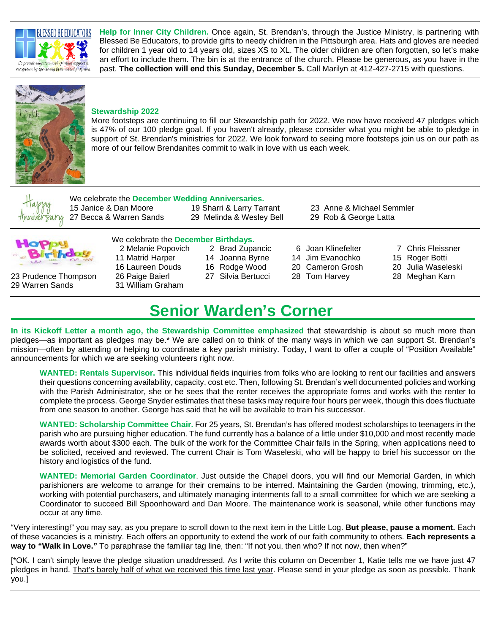

**Help for Inner City Children.** Once again, St. Brendan's, through the Justice Ministry, is partnering with Blessed Be Educators, to provide gifts to needy children in the Pittsburgh area. Hats and gloves are needed for children 1 year old to 14 years old, sizes XS to XL. The older children are often forgotten, so let's make an effort to include them. The bin is at the entrance of the church. Please be generous, as you have in the past. **The collection will end this Sunday, December 5.** Call Marilyn at 412-427-2715 with questions.



### **Stewardship 2022**

More footsteps are continuing to fill our Stewardship path for 2022. We now have received 47 pledges which is 47% of our 100 pledge goal. If you haven't already, please consider what you might be able to pledge in support of St. Brendan's ministries for 2022. We look forward to seeing more footsteps join us on our path as more of our fellow Brendanites commit to walk in love with us each week.



We celebrate the **December Wedding Anniversaries.** 15 Janice & Dan Moore 19 Sharri & Larry Tarrant 23 Anne & Michael Semmler 27 Becca & Warren Sands 29 Melinda & Wesley Bell 29 Rob & George Latta

| <b>TAL</b><br>s | $\mathbf{P}$ |  |
|-----------------|--------------|--|
| التاك           | rihd         |  |

- 23 Prudence Thompson 26 Paige Baierl 27 Silvia Bertucci 28 Tom Harvey 28 Meghan Karn 29 Warren Sands 31 William Graham
- We celebrate the **December Birthdays.**

2 Melanie Popovich 2 Brad Zupancic 6 Joan Klinefelter 7 Chris Fleissner

- 
- 
- 11 Matrid Harper 14 Joanna Byrne 14 Jim Evanochko 15 Roger Botti

- 
- 
- 
- 16 Laureen Douds 16 Rodge Wood 20 Cameron Grosh 20 Julia Waseleski
	-

### **Senior Warden's Corner**

**In its Kickoff Letter a month ago, the Stewardship Committee emphasized** that stewardship is about so much more than pledges—as important as pledges may be.\* We are called on to think of the many ways in which we can support St. Brendan's mission—often by attending or helping to coordinate a key parish ministry. Today, I want to offer a couple of "Position Available" announcements for which we are seeking volunteers right now.

**WANTED: Rentals Supervisor.** This individual fields inquiries from folks who are looking to rent our facilities and answers their questions concerning availability, capacity, cost etc. Then, following St. Brendan's well documented policies and working with the Parish Administrator, she or he sees that the renter receives the appropriate forms and works with the renter to complete the process. George Snyder estimates that these tasks may require four hours per week, though this does fluctuate from one season to another. George has said that he will be available to train his successor.

**WANTED: Scholarship Committee Chair.** For 25 years, St. Brendan's has offered modest scholarships to teenagers in the parish who are pursuing higher education. The fund currently has a balance of a little under \$10,000 and most recently made awards worth about \$300 each. The bulk of the work for the Committee Chair falls in the Spring, when applications need to be solicited, received and reviewed. The current Chair is Tom Waseleski, who will be happy to brief his successor on the history and logistics of the fund.

**WANTED: Memorial Garden Coordinator**. Just outside the Chapel doors, you will find our Memorial Garden, in which parishioners are welcome to arrange for their cremains to be interred. Maintaining the Garden (mowing, trimming, etc.), working with potential purchasers, and ultimately managing interments fall to a small committee for which we are seeking a Coordinator to succeed Bill Spoonhoward and Dan Moore. The maintenance work is seasonal, while other functions may occur at any time.

"Very interesting!" you may say, as you prepare to scroll down to the next item in the Little Log. **But please, pause a moment.** Each of these vacancies is a ministry. Each offers an opportunity to extend the work of our faith community to others. **Each represents a way to "Walk in Love."** To paraphrase the familiar tag line, then: "If not you, then who? If not now, then when?"

[\*OK. I can't simply leave the pledge situation unaddressed. As I write this column on December 1, Katie tells me we have just 47 pledges in hand. That's barely half of what we received this time last year. Please send in your pledge as soon as possible. Thank you.]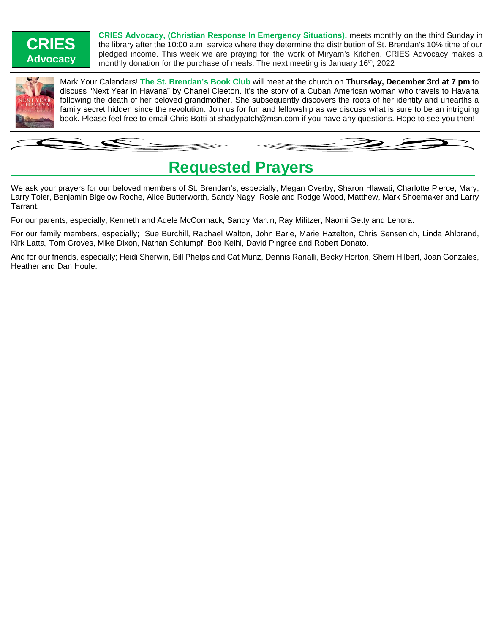### **CRIES Advocacy**

**CRIES Advocacy, (Christian Response In Emergency Situations),** meets monthly on the third Sunday in the library after the 10:00 a.m. service where they determine the distribution of St. Brendan's 10% tithe of our pledged income. This week we are praying for the work of Miryam's Kitchen. CRIES Advocacy makes a monthly donation for the purchase of meals. The next meeting is January  $16<sup>th</sup>$ , 2022



Mark Your Calendars! **The St. Brendan's Book Club** will meet at the church on **Thursday, December 3rd at 7 pm** to discuss "Next Year in Havana" by Chanel Cleeton. It's the story of a Cuban American woman who travels to Havana following the death of her beloved grandmother. She subsequently discovers the roots of her identity and unearths a family secret hidden since the revolution. Join us for fun and fellowship as we discuss what is sure to be an intriguing book. Please feel free to email Chris Botti at shadypatch@msn.com if you have any questions. Hope to see you then!

### **Requested Prayers**

We ask your prayers for our beloved members of St. Brendan's, especially; Megan Overby, Sharon Hlawati, Charlotte Pierce, Mary, Larry Toler, Benjamin Bigelow Roche, Alice Butterworth, Sandy Nagy, Rosie and Rodge Wood, Matthew, Mark Shoemaker and Larry Tarrant.

For our parents, especially; Kenneth and Adele McCormack, Sandy Martin, Ray Militzer, Naomi Getty and Lenora.

For our family members, especially; Sue Burchill, Raphael Walton, John Barie, Marie Hazelton, Chris Sensenich, Linda Ahlbrand, Kirk Latta, Tom Groves, Mike Dixon, Nathan Schlumpf, Bob Keihl, David Pingree and Robert Donato.

And for our friends, especially; Heidi Sherwin, Bill Phelps and Cat Munz, Dennis Ranalli, Becky Horton, Sherri Hilbert, Joan Gonzales, Heather and Dan Houle.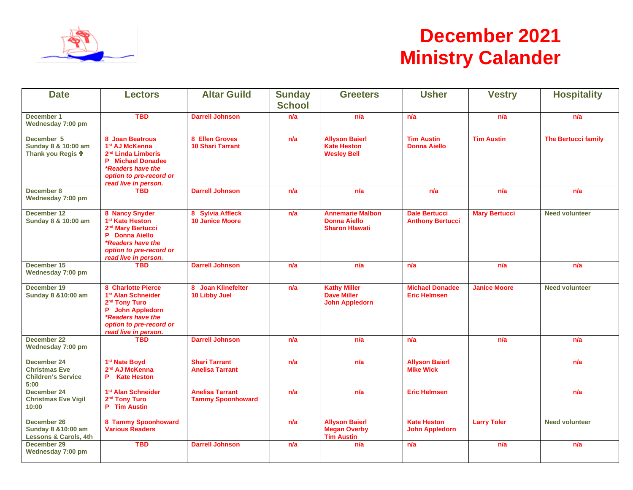

# **December 2021 Ministry Calander**

| <b>Date</b>                                                              | <b>Lectors</b>                                                                                                                                                                      | <b>Altar Guild</b>                                 | <b>Sunday</b><br><b>School</b> | <b>Greeters</b>                                                         | <b>Usher</b>                                    | <b>Vestry</b>        | <b>Hospitality</b>         |
|--------------------------------------------------------------------------|-------------------------------------------------------------------------------------------------------------------------------------------------------------------------------------|----------------------------------------------------|--------------------------------|-------------------------------------------------------------------------|-------------------------------------------------|----------------------|----------------------------|
| December 1<br>Wednesday 7:00 pm                                          | <b>TBD</b>                                                                                                                                                                          | <b>Darrell Johnson</b>                             | n/a                            | n/a                                                                     | n/a                                             | n/a                  | n/a                        |
| December 5<br>Sunday 8 & 10:00 am<br>Thank you Regis <sup>®</sup>        | 8 Joan Beatrous<br>1 <sup>st</sup> AJ McKenna<br>2 <sup>nd</sup> Linda Limberis<br><b>P</b> Michael Donadee<br>*Readers have the<br>option to pre-record or<br>read live in person. | 8 Ellen Groves<br><b>10 Shari Tarrant</b>          | n/a                            | <b>Allyson Baierl</b><br><b>Kate Heston</b><br><b>Wesley Bell</b>       | <b>Tim Austin</b><br><b>Donna Aiello</b>        | <b>Tim Austin</b>    | <b>The Bertucci family</b> |
| December 8<br>Wednesday 7:00 pm                                          | <b>TBD</b>                                                                                                                                                                          | <b>Darrell Johnson</b>                             | n/a                            | n/a                                                                     | n/a                                             | n/a                  | n/a                        |
| December 12<br>Sunday 8 & 10:00 am                                       | 8 Nancy Snyder<br>1 <sup>st</sup> Kate Heston<br>2 <sup>nd</sup> Mary Bertucci<br>P Donna Aiello<br>*Readers have the<br>option to pre-record or<br>read live in person.            | 8 Sylvia Affleck<br><b>10 Janice Moore</b>         | n/a                            | <b>Annemarie Malbon</b><br><b>Donna Aiello</b><br><b>Sharon Hlawati</b> | <b>Dale Bertucci</b><br><b>Anthony Bertucci</b> | <b>Mary Bertucci</b> | <b>Need volunteer</b>      |
| December 15<br>Wednesday 7:00 pm                                         | <b>TBD</b>                                                                                                                                                                          | <b>Darrell Johnson</b>                             | n/a                            | n/a                                                                     | n/a                                             | n/a                  | n/a                        |
| December 19<br>Sunday 8 & 10:00 am                                       | 8 Charlotte Pierce<br>1 <sup>st</sup> Alan Schneider<br>2 <sup>nd</sup> Tony Turo<br>P John Appledorn<br>*Readers have the<br>option to pre-record or<br>read live in person.       | 8 Joan Klinefelter<br>10 Libby Juel                | n/a                            | <b>Kathy Miller</b><br><b>Dave Miller</b><br><b>John Appledorn</b>      | <b>Michael Donadee</b><br><b>Eric Helmsen</b>   | <b>Janice Moore</b>  | <b>Need volunteer</b>      |
| December 22<br>Wednesday 7:00 pm                                         | <b>TBD</b>                                                                                                                                                                          | <b>Darrell Johnson</b>                             | n/a                            | n/a                                                                     | n/a                                             | n/a                  | n/a                        |
| December 24<br><b>Christmas Eve</b><br><b>Children's Service</b><br>5:00 | 1 <sup>st</sup> Nate Boyd<br>2 <sup>nd</sup> AJ McKenna<br><b>P</b> Kate Heston                                                                                                     | <b>Shari Tarrant</b><br><b>Anelisa Tarrant</b>     | n/a                            | n/a                                                                     | <b>Allyson Baierl</b><br><b>Mike Wick</b>       |                      | n/a                        |
| December 24<br><b>Christmas Eve Vigil</b><br>10:00                       | 1 <sup>st</sup> Alan Schneider<br>2 <sup>nd</sup> Tony Turo<br>P Tim Austin                                                                                                         | <b>Anelisa Tarrant</b><br><b>Tammy Spoonhoward</b> | n/a                            | n/a                                                                     | <b>Eric Helmsen</b>                             |                      | n/a                        |
| December 26<br>Sunday 8 & 10:00 am<br><b>Lessons &amp; Carols, 4th</b>   | 8 Tammy Spoonhoward<br><b>Various Readers</b>                                                                                                                                       |                                                    | n/a                            | <b>Allyson Baierl</b><br><b>Megan Overby</b><br><b>Tim Austin</b>       | <b>Kate Heston</b><br><b>John Appledorn</b>     | <b>Larry Toler</b>   | <b>Need volunteer</b>      |
| December 29<br>Wednesday 7:00 pm                                         | <b>TBD</b>                                                                                                                                                                          | <b>Darrell Johnson</b>                             | n/a                            | n/a                                                                     | n/a                                             | n/a                  | n/a                        |